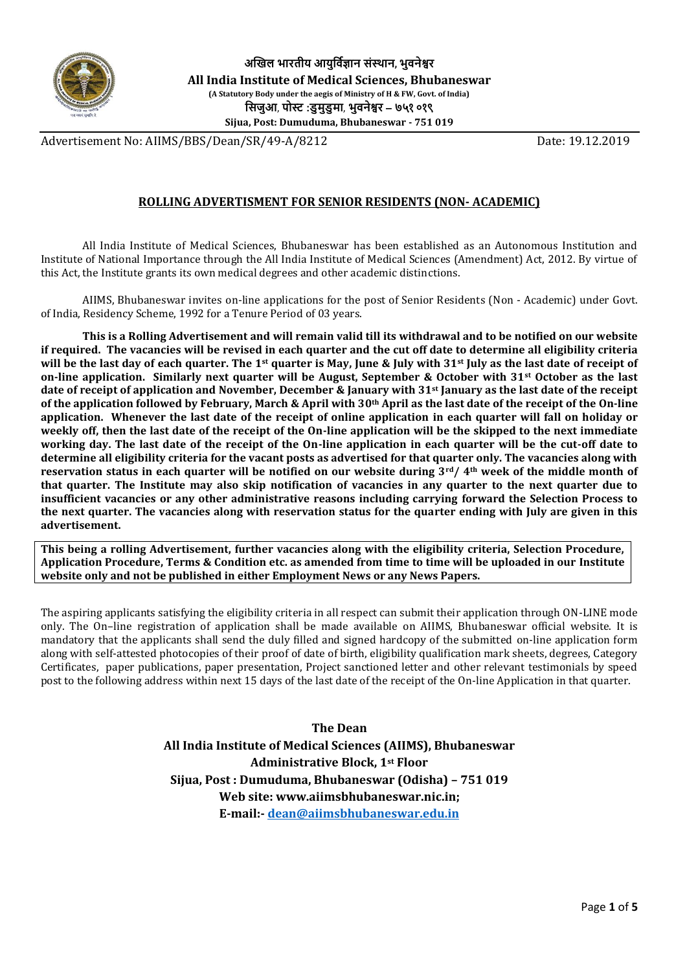

Advertisement No: AIIMS/BBS/Dean/SR/49-A/8212 Date: 19.12.2019

# **ROLLING ADVERTISMENT FOR SENIOR RESIDENTS (NON- ACADEMIC)**

All India Institute of Medical Sciences, Bhubaneswar has been established as an Autonomous Institution and Institute of National Importance through the All India Institute of Medical Sciences (Amendment) Act, 2012. By virtue of this Act, the Institute grants its own medical degrees and other academic distinctions.

AIIMS, Bhubaneswar invites on-line applications for the post of Senior Residents (Non - Academic) under Govt. of India, Residency Scheme, 1992 for a Tenure Period of 03 years.

**This is a Rolling Advertisement and will remain valid till its withdrawal and to be notified on our website if required. The vacancies will be revised in each quarter and the cut off date to determine all eligibility criteria will be the last day of each quarter. The 1st quarter is May, June & July with 31st July as the last date of receipt of on-line application. Similarly next quarter will be August, September & October with 31st October as the last date of receipt of application and November, December & January with 31st January as the last date of the receipt of the application followed by February, March & April with 30th April as the last date of the receipt of the On-line application. Whenever the last date of the receipt of online application in each quarter will fall on holiday or weekly off, then the last date of the receipt of the On-line application will be the skipped to the next immediate working day. The last date of the receipt of the On-line application in each quarter will be the cut-off date to determine all eligibility criteria for the vacant posts as advertised for that quarter only. The vacancies along with reservation status in each quarter will be notified on our website during 3rd/ 4th week of the middle month of that quarter. The Institute may also skip notification of vacancies in any quarter to the next quarter due to insufficient vacancies or any other administrative reasons including carrying forward the Selection Process to the next quarter. The vacancies along with reservation status for the quarter ending with July are given in this advertisement.**

**This being a rolling Advertisement, further vacancies along with the eligibility criteria, Selection Procedure, Application Procedure, Terms & Condition etc. as amended from time to time will be uploaded in our Institute website only and not be published in either Employment News or any News Papers.**

The aspiring applicants satisfying the eligibility criteria in all respect can submit their application through ON-LINE mode only. The On–line registration of application shall be made available on AIIMS, Bhubaneswar official website. It is mandatory that the applicants shall send the duly filled and signed hardcopy of the submitted on-line application form along with self-attested photocopies of their proof of date of birth, eligibility qualification mark sheets, degrees, Category Certificates, paper publications, paper presentation, Project sanctioned letter and other relevant testimonials by speed post to the following address within next 15 days of the last date of the receipt of the On-line Application in that quarter.

> **The Dean All India Institute of Medical Sciences (AIIMS), Bhubaneswar Administrative Block, 1st Floor Sijua, Post : Dumuduma, Bhubaneswar (Odisha) – 751 019 Web site: www.aiimsbhubaneswar.nic.in; E-mail:- [dean@aiimsbhubaneswar.edu.in](mailto:dean@aiimsbhubaneswar.edu.in)**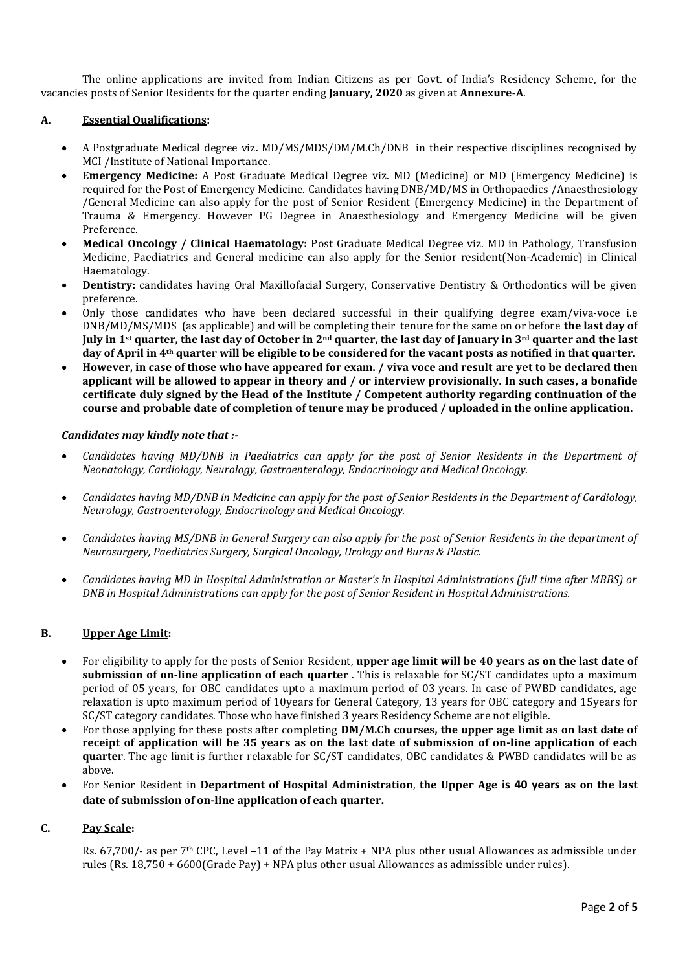The online applications are invited from Indian Citizens as per Govt. of India's Residency Scheme, for the vacancies posts of Senior Residents for the quarter ending **January, 2020** as given at **Annexure-A**.

### **A. Essential Qualifications:**

- A Postgraduate Medical degree viz. MD/MS/MDS/DM/M.Ch/DNB in their respective disciplines recognised by MCI /Institute of National Importance.
- **Emergency Medicine:** A Post Graduate Medical Degree viz. MD (Medicine) or MD (Emergency Medicine) is required for the Post of Emergency Medicine. Candidates having DNB/MD/MS in Orthopaedics /Anaesthesiology /General Medicine can also apply for the post of Senior Resident (Emergency Medicine) in the Department of Trauma & Emergency. However PG Degree in Anaesthesiology and Emergency Medicine will be given Preference.
- **Medical Oncology / Clinical Haematology:** Post Graduate Medical Degree viz. MD in Pathology, Transfusion Medicine, Paediatrics and General medicine can also apply for the Senior resident(Non-Academic) in Clinical Haematology.
- **Dentistry:** candidates having Oral Maxillofacial Surgery, Conservative Dentistry & Orthodontics will be given preference.
- Only those candidates who have been declared successful in their qualifying degree exam/viva-voce i.e DNB/MD/MS/MDS (as applicable) and will be completing their tenure for the same on or before **the last day of July in 1st quarter, the last day of October in 2nd quarter, the last day of January in 3rd quarter and the last day of April in 4th quarter will be eligible to be considered for the vacant posts as notified in that quarter**.
- **However, in case of those who have appeared for exam. / viva voce and result are yet to be declared then applicant will be allowed to appear in theory and / or interview provisionally. In such cases, a bonafide certificate duly signed by the Head of the Institute / Competent authority regarding continuation of the course and probable date of completion of tenure may be produced / uploaded in the online application.**

### *Candidates may kindly note that :-*

- *Candidates having MD/DNB in Paediatrics can apply for the post of Senior Residents in the Department of Neonatology, Cardiology, Neurology, Gastroenterology, Endocrinology and Medical Oncology.*
- *Candidates having MD/DNB in Medicine can apply for the post of Senior Residents in the Department of Cardiology, Neurology, Gastroenterology, Endocrinology and Medical Oncology.*
- *Candidates having MS/DNB in General Surgery can also apply for the post of Senior Residents in the department of Neurosurgery, Paediatrics Surgery, Surgical Oncology, Urology and Burns & Plastic.*
- *Candidates having MD in Hospital Administration or Master's in Hospital Administrations (full time after MBBS) or DNB in Hospital Administrations can apply for the post of Senior Resident in Hospital Administrations.*

# **B. Upper Age Limit:**

- For eligibility to apply for the posts of Senior Resident, **upper age limit will be 40 years as on the last date of submission of on-line application of each quarter** . This is relaxable for SC/ST candidates upto a maximum period of 05 years, for OBC candidates upto a maximum period of 03 years. In case of PWBD candidates, age relaxation is upto maximum period of 10years for General Category, 13 years for OBC category and 15years for SC/ST category candidates. Those who have finished 3 years Residency Scheme are not eligible.
- For those applying for these posts after completing **DM/M.Ch courses, the upper age limit as on last date of receipt of application will be 35 years as on the last date of submission of on-line application of each quarter**. The age limit is further relaxable for SC/ST candidates, OBC candidates & PWBD candidates will be as above.
- For Senior Resident in **Department of Hospital Administration**, **the Upper Age is 40 years as on the last date of submission of on-line application of each quarter.**

#### **C. Pay Scale:**

Rs. 67,700/- as per 7th CPC, Level –11 of the Pay Matrix + NPA plus other usual Allowances as admissible under rules (Rs. 18,750 + 6600(Grade Pay) + NPA plus other usual Allowances as admissible under rules).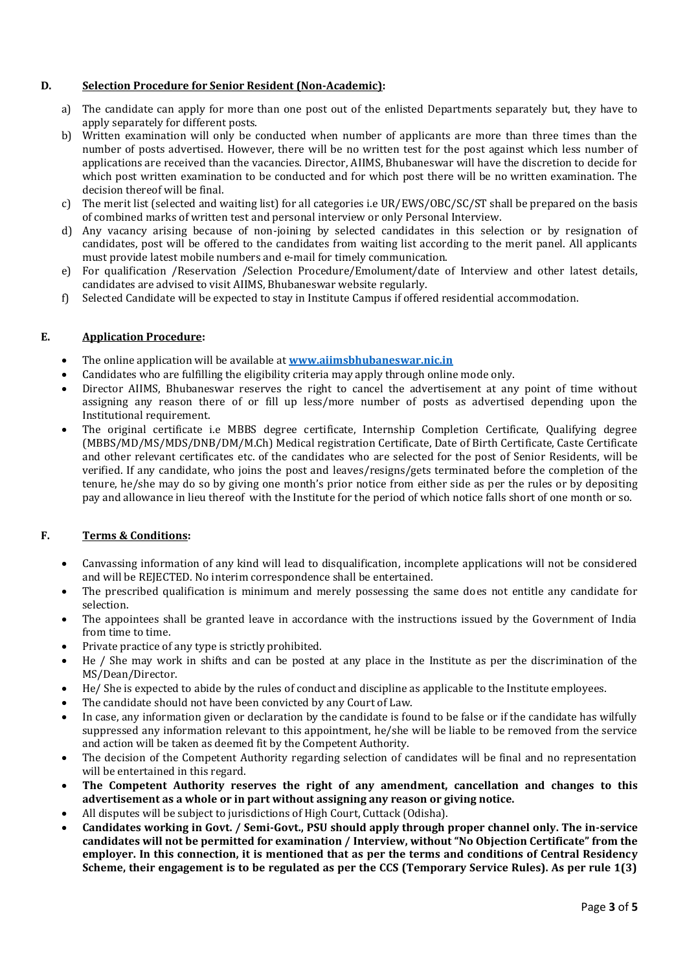# **D. Selection Procedure for Senior Resident (Non-Academic):**

- a) The candidate can apply for more than one post out of the enlisted Departments separately but, they have to apply separately for different posts.
- b) Written examination will only be conducted when number of applicants are more than three times than the number of posts advertised. However, there will be no written test for the post against which less number of applications are received than the vacancies. Director, AIIMS, Bhubaneswar will have the discretion to decide for which post written examination to be conducted and for which post there will be no written examination. The decision thereof will be final.
- c) The merit list (selected and waiting list) for all categories i.e UR/EWS/OBC/SC/ST shall be prepared on the basis of combined marks of written test and personal interview or only Personal Interview.
- d) Any vacancy arising because of non-joining by selected candidates in this selection or by resignation of candidates, post will be offered to the candidates from waiting list according to the merit panel. All applicants must provide latest mobile numbers and e-mail for timely communication.
- e) For qualification /Reservation /Selection Procedure/Emolument/date of Interview and other latest details, candidates are advised to visit AIIMS, Bhubaneswar website regularly.
- f) Selected Candidate will be expected to stay in Institute Campus if offered residential accommodation.

### **E. Application Procedure:**

- The online application will be available at **[www.aiimsbhubaneswar.nic.in](http://www.aiimsbhubaneswar.nic.in/)**
- Candidates who are fulfilling the eligibility criteria may apply through online mode only.
- Director AIIMS, Bhubaneswar reserves the right to cancel the advertisement at any point of time without assigning any reason there of or fill up less/more number of posts as advertised depending upon the Institutional requirement.
- The original certificate i.e MBBS degree certificate, Internship Completion Certificate, Qualifying degree (MBBS/MD/MS/MDS/DNB/DM/M.Ch) Medical registration Certificate, Date of Birth Certificate, Caste Certificate and other relevant certificates etc. of the candidates who are selected for the post of Senior Residents, will be verified. If any candidate, who joins the post and leaves/resigns/gets terminated before the completion of the tenure, he/she may do so by giving one month's prior notice from either side as per the rules or by depositing pay and allowance in lieu thereof with the Institute for the period of which notice falls short of one month or so.

# **F. Terms & Conditions:**

- Canvassing information of any kind will lead to disqualification, incomplete applications will not be considered and will be REJECTED. No interim correspondence shall be entertained.
- The prescribed qualification is minimum and merely possessing the same does not entitle any candidate for selection.
- The appointees shall be granted leave in accordance with the instructions issued by the Government of India from time to time.
- Private practice of any type is strictly prohibited.
- He / She may work in shifts and can be posted at any place in the Institute as per the discrimination of the MS/Dean/Director.
- He/ She is expected to abide by the rules of conduct and discipline as applicable to the Institute employees.
- The candidate should not have been convicted by any Court of Law.
- In case, any information given or declaration by the candidate is found to be false or if the candidate has wilfully suppressed any information relevant to this appointment, he/she will be liable to be removed from the service and action will be taken as deemed fit by the Competent Authority.
- The decision of the Competent Authority regarding selection of candidates will be final and no representation will be entertained in this regard.
- **The Competent Authority reserves the right of any amendment, cancellation and changes to this advertisement as a whole or in part without assigning any reason or giving notice.**
- All disputes will be subject to jurisdictions of High Court, Cuttack (Odisha).
- **Candidates working in Govt. / Semi-Govt., PSU should apply through proper channel only. The in-service candidates will not be permitted for examination / Interview, without "No Objection Certificate" from the employer. In this connection, it is mentioned that as per the terms and conditions of Central Residency Scheme, their engagement is to be regulated as per the CCS (Temporary Service Rules). As per rule 1(3)**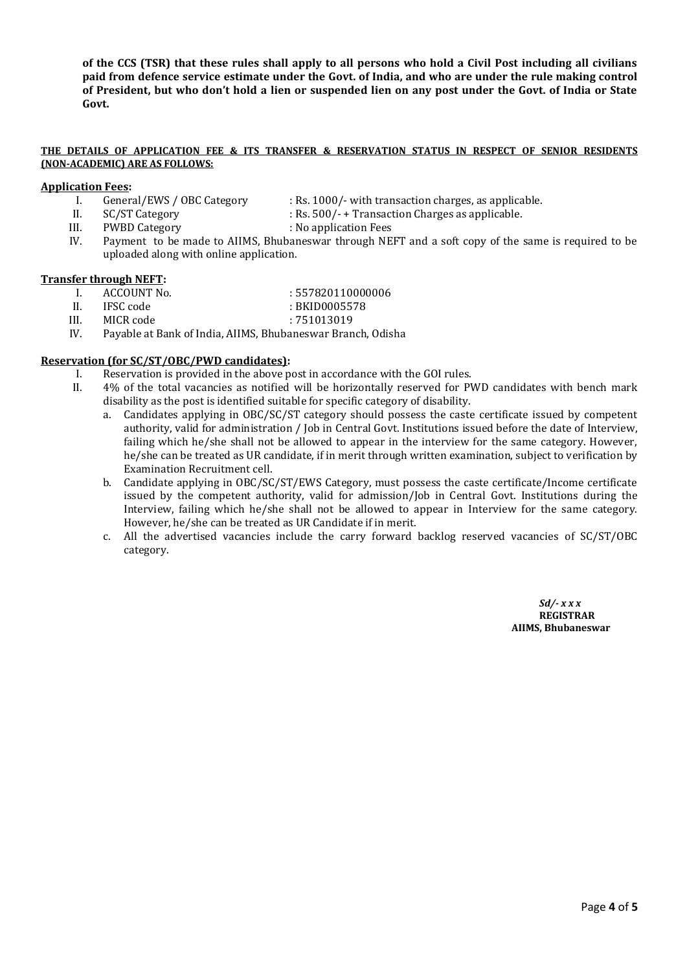**of the CCS (TSR) that these rules shall apply to all persons who hold a Civil Post including all civilians paid from defence service estimate under the Govt. of India, and who are under the rule making control of President, but who don't hold a lien or suspended lien on any post under the Govt. of India or State Govt.**

#### **THE DETAILS OF APPLICATION FEE & ITS TRANSFER & RESERVATION STATUS IN RESPECT OF SENIOR RESIDENTS (NON-ACADEMIC) ARE AS FOLLOWS:**

#### **Application Fees:**

- 
- I. General/EWS / OBC Category : Rs. 1000/- with transaction charges, as applicable.
- 
- II. SC/ST Category : Rs. 500/- + Transaction Charges as applicable.
- III. PWBD Category : No application Fees
	- IV. Payment to be made to AIIMS, Bhubaneswar through NEFT and a soft copy of the same is required to be uploaded along with online application.

### **Transfer through NEFT:**

- I. ACCOUNT No.  $.557820110000006$
- II. IFSC code : BKID0005578
- III. MICR code : 751013019
- IV. Payable at Bank of India, AIIMS, Bhubaneswar Branch, Odisha

# **Reservation (for SC/ST/OBC/PWD candidates):**

- I. Reservation is provided in the above post in accordance with the GOI rules.
- II. 4% of the total vacancies as notified will be horizontally reserved for PWD candidates with bench mark disability as the post is identified suitable for specific category of disability.
	- a. Candidates applying in OBC/SC/ST category should possess the caste certificate issued by competent authority, valid for administration / Job in Central Govt. Institutions issued before the date of Interview, failing which he/she shall not be allowed to appear in the interview for the same category. However, he/she can be treated as UR candidate, if in merit through written examination, subject to verification by Examination Recruitment cell.
	- b. Candidate applying in OBC/SC/ST/EWS Category, must possess the caste certificate/Income certificate issued by the competent authority, valid for admission/Job in Central Govt. Institutions during the Interview, failing which he/she shall not be allowed to appear in Interview for the same category. However, he/she can be treated as UR Candidate if in merit.
	- c. All the advertised vacancies include the carry forward backlog reserved vacancies of SC/ST/OBC category.

*Sd/- x x x*  **REGISTRAR AIIMS, Bhubaneswar**